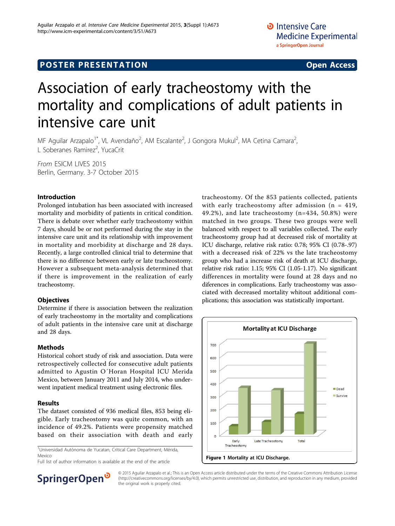## **POSTER PRESENTATION CONSUMING THE SERVICE SERVICE SERVICES**

# Association of early tracheostomy with the mortality and complications of adult patients in intensive care unit

MF Aguilar Arzapalo<sup>1\*</sup>, VL Avendaño<sup>2</sup>, AM Escalante<sup>2</sup>, J Gongora Mukul<sup>2</sup>, MA Cetina Camara<sup>2</sup> , L Soberanes Ramirez<sup>2</sup>, YucaCrit

From ESICM LIVES 2015 Berlin, Germany. 3-7 October 2015

## Introduction

Prolonged intubation has been associated with increased mortality and morbidity of patients in critical condition. There is debate over whether early tracheostomy within 7 days, should be or not performed during the stay in the intensive care unit and its relationship with improvement in mortality and morbidity at discharge and 28 days. Recently, a large controlled clinical trial to determine that there is no difference between early or late tracheostomy. However a subsequent meta-analysis determined that if there is improvement in the realization of early tracheostomy.

## **Objectives**

Determine if there is association between the realization of early tracheostomy in the mortality and complications of adult patients in the intensive care unit at discharge and 28 days.

## Methods

Historical cohort study of risk and association. Data were retrospectively collected for consecutive adult patients admitted to Agustin O´Horan Hospital ICU Merida Mexico, between January 2011 and July 2014, who underwent inpatient medical treatment using electronic files.

## Results

The dataset consisted of 936 medical files, 853 being eligible. Early tracheostomy was quite common, with an incidence of 49.2%. Patients were propensity matched based on their association with death and early

<sup>1</sup>Universidad Autónoma de Yucatan, Critical Care Department, Mérida, Mexico







© 2015 Aguilar Arzapalo et al.; This is an Open Access article distributed under the terms of the Creative Commons Attribution License [\(http://creativecommons.org/licenses/by/4.0](http://creativecommons.org/licenses/by/4.0)), which permits unrestricted use, distribution, and reproduction in any medium, provided the original work is properly cited.